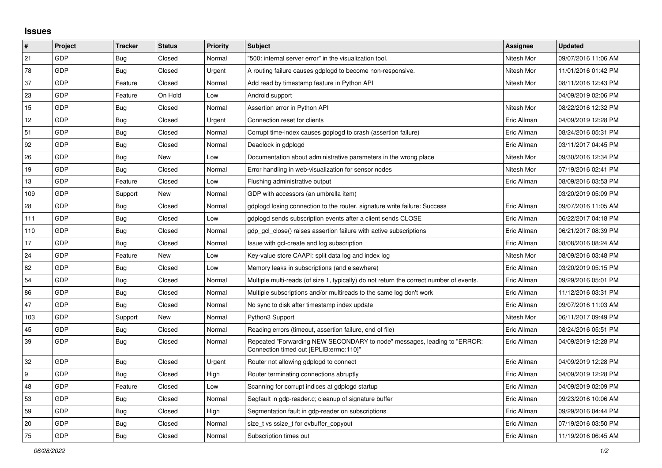## **Issues**

| #   | Project | <b>Tracker</b> | <b>Status</b> | <b>Priority</b> | <b>Subject</b>                                                                                                      | <b>Assignee</b> | <b>Updated</b>      |
|-----|---------|----------------|---------------|-----------------|---------------------------------------------------------------------------------------------------------------------|-----------------|---------------------|
| 21  | GDP     | <b>Bug</b>     | Closed        | Normal          | "500: internal server error" in the visualization tool.                                                             | Nitesh Mor      | 09/07/2016 11:06 AM |
| 78  | GDP     | <b>Bug</b>     | Closed        | Urgent          | A routing failure causes gdplogd to become non-responsive.                                                          | Nitesh Mor      | 11/01/2016 01:42 PM |
| 37  | GDP     | Feature        | Closed        | Normal          | Add read by timestamp feature in Python API                                                                         | Nitesh Mor      | 08/11/2016 12:43 PM |
| 23  | GDP     | Feature        | On Hold       | Low             | Android support                                                                                                     |                 | 04/09/2019 02:06 PM |
| 15  | GDP     | <b>Bug</b>     | Closed        | Normal          | Assertion error in Python API                                                                                       | Nitesh Mor      | 08/22/2016 12:32 PM |
| 12  | GDP     | <b>Bug</b>     | Closed        | Urgent          | Connection reset for clients                                                                                        | Eric Allman     | 04/09/2019 12:28 PM |
| 51  | GDP     | <b>Bug</b>     | Closed        | Normal          | Corrupt time-index causes gdplogd to crash (assertion failure)                                                      | Eric Allman     | 08/24/2016 05:31 PM |
| 92  | GDP     | Bug            | Closed        | Normal          | Deadlock in gdplogd                                                                                                 | Eric Allman     | 03/11/2017 04:45 PM |
| 26  | GDP     | <b>Bug</b>     | <b>New</b>    | Low             | Documentation about administrative parameters in the wrong place                                                    | Nitesh Mor      | 09/30/2016 12:34 PM |
| 19  | GDP     | <b>Bug</b>     | Closed        | Normal          | Error handling in web-visualization for sensor nodes                                                                | Nitesh Mor      | 07/19/2016 02:41 PM |
| 13  | GDP     | Feature        | Closed        | Low             | Flushing administrative output                                                                                      | Eric Allman     | 08/09/2016 03:53 PM |
| 109 | GDP     | Support        | New           | Normal          | GDP with accessors (an umbrella item)                                                                               |                 | 03/20/2019 05:09 PM |
| 28  | GDP     | <b>Bug</b>     | Closed        | Normal          | gdplogd losing connection to the router. signature write failure: Success                                           | Eric Allman     | 09/07/2016 11:05 AM |
| 111 | GDP     | <b>Bug</b>     | Closed        | Low             | gdplogd sends subscription events after a client sends CLOSE                                                        | Eric Allman     | 06/22/2017 04:18 PM |
| 110 | GDP     | Bug            | Closed        | Normal          | gdp gcl close() raises assertion failure with active subscriptions                                                  | Eric Allman     | 06/21/2017 08:39 PM |
| 17  | GDP     | <b>Bug</b>     | Closed        | Normal          | Issue with gcl-create and log subscription                                                                          | Eric Allman     | 08/08/2016 08:24 AM |
| 24  | GDP     | Feature        | New           | Low             | Key-value store CAAPI: split data log and index log                                                                 | Nitesh Mor      | 08/09/2016 03:48 PM |
| 82  | GDP     | Bug            | Closed        | Low             | Memory leaks in subscriptions (and elsewhere)                                                                       | Eric Allman     | 03/20/2019 05:15 PM |
| 54  | GDP     | <b>Bug</b>     | Closed        | Normal          | Multiple multi-reads (of size 1, typically) do not return the correct number of events.                             | Eric Allman     | 09/29/2016 05:01 PM |
| 86  | GDP     | Bug            | Closed        | Normal          | Multiple subscriptions and/or multireads to the same log don't work                                                 | Eric Allman     | 11/12/2016 03:31 PM |
| 47  | GDP     | Bug            | Closed        | Normal          | No sync to disk after timestamp index update                                                                        | Eric Allman     | 09/07/2016 11:03 AM |
| 103 | GDP     | Support        | New           | Normal          | Python3 Support                                                                                                     | Nitesh Mor      | 06/11/2017 09:49 PM |
| 45  | GDP     | Bug            | Closed        | Normal          | Reading errors (timeout, assertion failure, end of file)                                                            | Eric Allman     | 08/24/2016 05:51 PM |
| 39  | GDP     | <b>Bug</b>     | Closed        | Normal          | Repeated "Forwarding NEW SECONDARY to node" messages, leading to "ERROR:<br>Connection timed out [EPLIB:errno:110]" | Eric Allman     | 04/09/2019 12:28 PM |
| 32  | GDP     | Bug            | Closed        | Urgent          | Router not allowing gdplogd to connect                                                                              | Eric Allman     | 04/09/2019 12:28 PM |
| 9   | GDP     | Bug            | Closed        | High            | Router terminating connections abruptly                                                                             | Eric Allman     | 04/09/2019 12:28 PM |
| 48  | GDP     | Feature        | Closed        | Low             | Scanning for corrupt indices at gdplogd startup                                                                     | Eric Allman     | 04/09/2019 02:09 PM |
| 53  | GDP     | <b>Bug</b>     | Closed        | Normal          | Segfault in gdp-reader.c; cleanup of signature buffer                                                               | Eric Allman     | 09/23/2016 10:06 AM |
| 59  | GDP     | <b>Bug</b>     | Closed        | High            | Segmentation fault in gdp-reader on subscriptions                                                                   | Eric Allman     | 09/29/2016 04:44 PM |
| 20  | GDP     | Bug            | Closed        | Normal          | size t vs ssize t for evbuffer copyout                                                                              | Eric Allman     | 07/19/2016 03:50 PM |
| 75  | GDP     | Bug            | Closed        | Normal          | Subscription times out                                                                                              | Eric Allman     | 11/19/2016 06:45 AM |